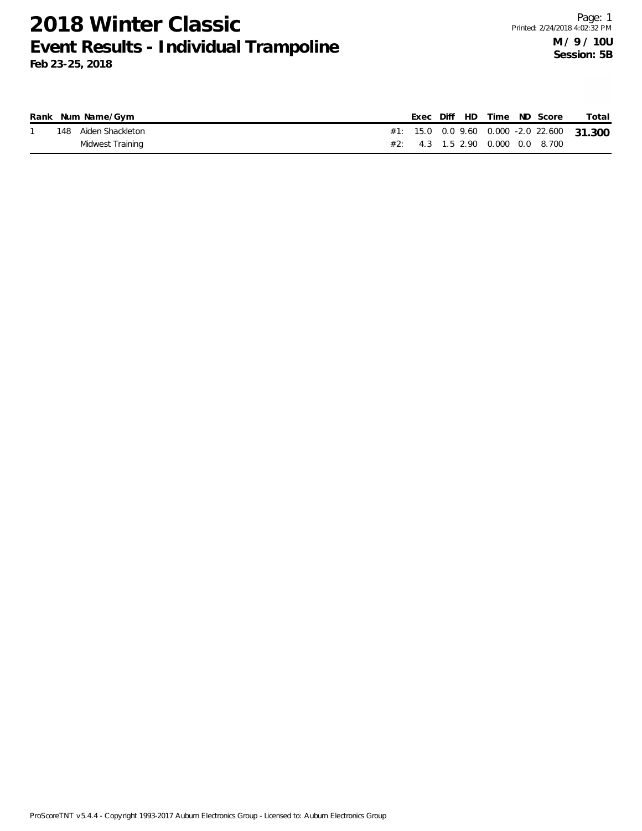|      | Rank Num Name/Gym |  |  |                                      | Exec Diff HD Time ND Score | Total                                      |
|------|-------------------|--|--|--------------------------------------|----------------------------|--------------------------------------------|
| 148. | Aiden Shackleton  |  |  |                                      |                            | #1: 15.0 0.0 9.60 0.000 -2.0 22.600 31.300 |
|      | Midwest Training  |  |  | $\#2$ : 4.3 1.5 2.90 0.000 0.0 8.700 |                            |                                            |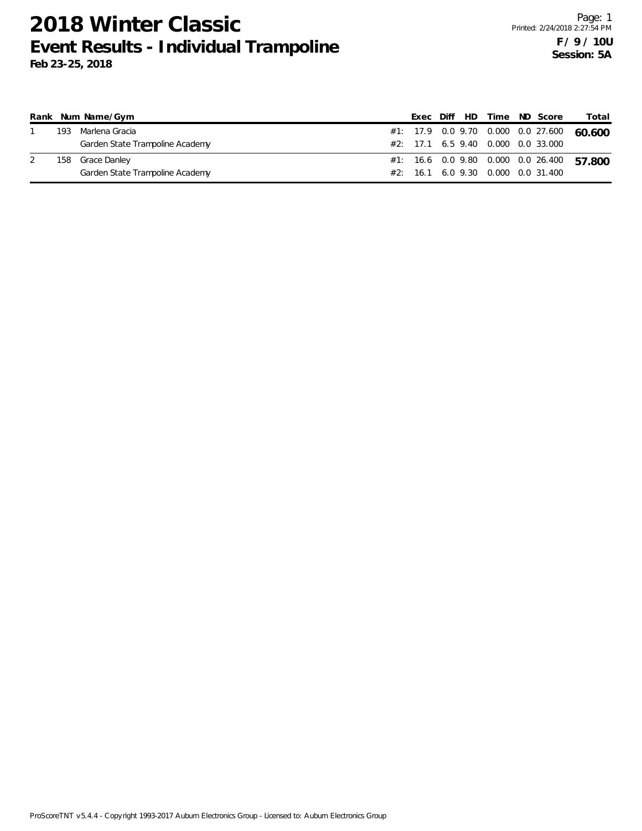|  | Rank Num Name/Gym               |  |  |  | Exec Diff HD Time ND Score              | Total                                     |
|--|---------------------------------|--|--|--|-----------------------------------------|-------------------------------------------|
|  | 193 Marlena Gracia              |  |  |  |                                         | #1: 17.9 0.0 9.70 0.000 0.0 27.600 60.600 |
|  | Garden State Trampoline Academy |  |  |  | $\#2$ : 17.1 6.5 9.40 0.000 0.0 33.000  |                                           |
|  | 158 Grace Danley                |  |  |  | #1: 16.6  0.0  9.80  0.000  0.0  26.400 | 57.800                                    |
|  | Garden State Trampoline Academy |  |  |  | $\#2:$ 16.1 6.0 9.30 0.000 0.0 31.400   |                                           |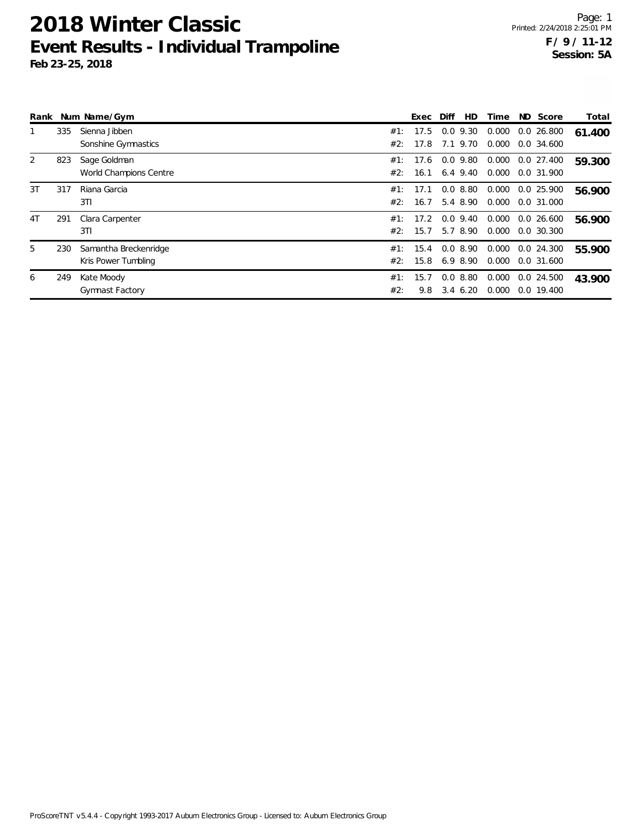|                |     | Rank Num Name/Gym      |     | Exec | Diff | <b>HD</b>   | Time  | ND  | Score         | Total  |
|----------------|-----|------------------------|-----|------|------|-------------|-------|-----|---------------|--------|
|                | 335 | Sienna Jibben          | #1: | 17.5 | 0.0  | 9.30        | 0.000 |     | 0.026.800     | 61.400 |
|                |     | Sonshine Gymnastics    | #2: | 17.8 |      | 7.1 9.70    | 0.000 |     | 0.0 34.600    |        |
| 2              | 823 | Sage Goldman           | #1: | 17.6 |      | $0.0$ 9.80  | 0.000 |     | 0.0 27.400    | 59.300 |
|                |     | World Champions Centre | #2: | 16.1 |      | 6.4 9.40    | 0.000 |     | 0.0 31.900    |        |
| 3T             | 317 | Riana Garcia           | #1: | 17.1 |      | 0.08.80     | 0.000 |     | 0.0 25.900    | 56.900 |
|                |     | 3T1                    | #2: | 16.7 |      | 5.4 8.90    | 0.000 |     | 0.0 31.000    |        |
| 4 <sub>T</sub> | 291 | Clara Carpenter        | #1: | 17.2 |      | $0.0$ 9.40  | 0.000 |     | 0.0 26.600    | 56.900 |
|                |     | 3T1                    | #2: | 15.7 |      | 5.7 8.90    | 0.000 |     | $0.0\,30.300$ |        |
| 5              | 230 | Samantha Breckenridge  | #1: | 15.4 |      | 0.08.90     | 0.000 |     | $0.0$ 24.300  | 55.900 |
|                |     | Kris Power Tumbling    | #2: | 15.8 |      | 6.9 8.90    | 0.000 |     | 0.0 31.600    |        |
| 6              | 249 | Kate Moody             | #1: | 15.7 | 0.0  | 8.80        | 0.000 | 0.0 | 24.500        | 43.900 |
|                |     | <b>Gymnast Factory</b> | #2: | 9.8  |      | $3.4\;6.20$ | 0.000 |     | $0.0$ 19.400  |        |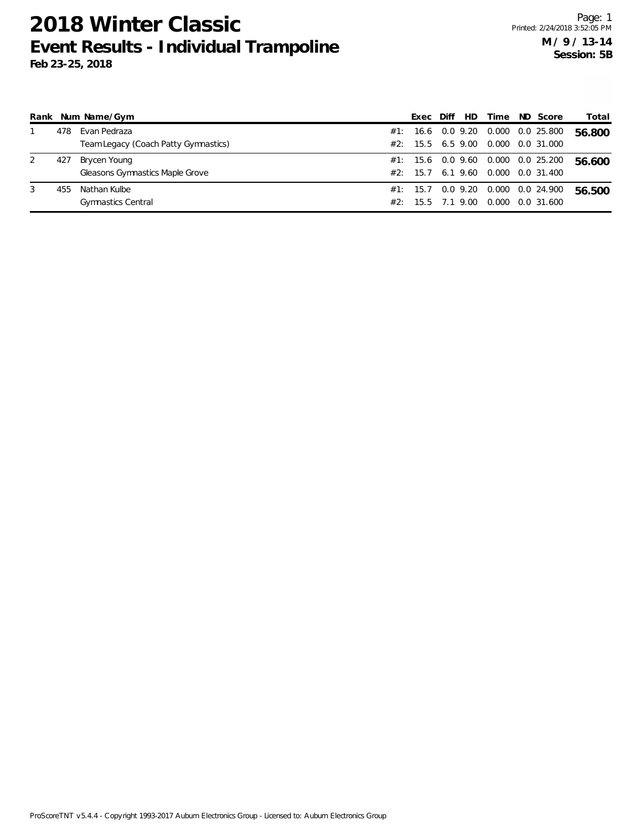|   |     | Rank Num Name/Gym                    |     | Exec                  | Diff          | HD.  | Time                                   | ND Score   | Total  |
|---|-----|--------------------------------------|-----|-----------------------|---------------|------|----------------------------------------|------------|--------|
|   | 478 | Evan Pedraza                         | #1: |                       | 16.6 0.0 9.20 |      | 0.000                                  | 0.0 25.800 | 56.800 |
|   |     | Team Legacy (Coach Patty Gymnastics) |     | $\#2$ : 15.5 6.5 9.00 |               |      | 0.000                                  | 0.0 31.000 |        |
| 2 | 427 | Brycen Young                         |     |                       |               |      | $\#1$ : 15.6 0.0 9.60 0.000 0.0 25.200 |            | 56.600 |
|   |     | Gleasons Gymnastics Maple Grove      |     | #2: 15.7              | 6.19.60       |      | 0.000                                  | 0.0 31.400 |        |
| 3 | 455 | Nathan Kulbe                         |     | $\#1$ : 15.7 0.0 9.20 |               |      | 0.000  0.0  24.900                     |            | 56.500 |
|   |     | <b>Gymnastics Central</b>            |     | #2: 15.5              | 7.1           | 9.00 | 0.000                                  | 0.0 31.600 |        |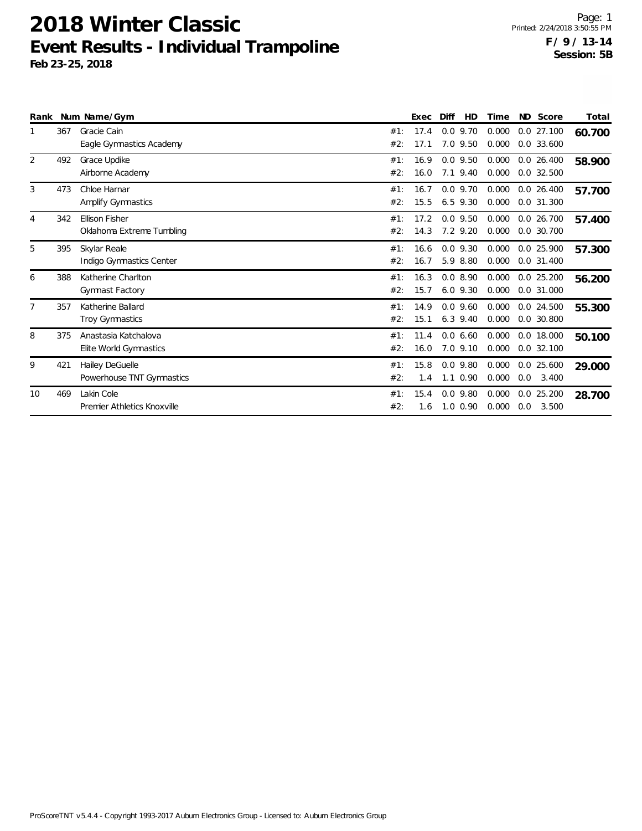|                |     | Rank Num Name/Gym                                  |            | Exec         | Diff                       | HD   | Time           |     | ND Score                     | Total  |
|----------------|-----|----------------------------------------------------|------------|--------------|----------------------------|------|----------------|-----|------------------------------|--------|
|                | 367 | Gracie Cain<br>Eagle Gymnastics Academy            | #1:<br>#2: | 17.4<br>17.1 | $0.0$ 9.70<br>7.0 9.50     |      | 0.000<br>0.000 |     | $0.0$ 27.100<br>$0.0$ 33.600 | 60.700 |
| 2              | 492 | Grace Updike<br>Airborne Academy                   | #1:<br>#2: | 16.9<br>16.0 | $0.0$ 9.50<br>7.1 9.40     |      | 0.000<br>0.000 |     | $0.0$ 26.400<br>$0.0$ 32.500 | 58.900 |
| 3              | 473 | Chloe Harnar<br>Amplify Gymnastics                 | #1:<br>#2: | 16.7<br>15.5 | $0.0$ 9.70<br>6.5 9.30     |      | 0.000<br>0.000 |     | $0.0$ 26.400<br>0.0 31.300   | 57.700 |
| $\overline{4}$ | 342 | <b>Ellison Fisher</b><br>Oklahoma Extreme Tumbling | #1:<br>#2: | 17.2<br>14.3 | $0.0$ 9.50<br>7.2 9.20     |      | 0.000<br>0.000 |     | $0.0$ 26.700<br>$0.0$ 30.700 | 57.400 |
| 5              | 395 | Skylar Reale<br>Indigo Gymnastics Center           | #1:<br>#2: | 16.6<br>16.7 | $0.0$ 9.30<br>5.9 8.80     |      | 0.000<br>0.000 |     | 0.0 25.900<br>0.0 31.400     | 57.300 |
| 6              | 388 | Katherine Charlton<br>Gymnast Factory              | #1:<br>#2: | 16.3<br>15.7 | 0.08.90<br>$6.0$ $9.30$    |      | 0.000<br>0.000 |     | $0.0$ 25.200<br>0.0 31.000   | 56.200 |
| $\overline{7}$ | 357 | Katherine Ballard<br>Troy Gymnastics               | #1:<br>#2: | 14.9<br>15.1 | $0.0$ 9.60<br>$6.3$ 9.40   |      | 0.000<br>0.000 |     | 0.0 24.500<br>0.0 30.800     | 55.300 |
| 8              | 375 | Anastasia Katchalova<br>Elite World Gymnastics     | #1:<br>#2: | 11.4<br>16.0 | 0.0660<br>7.0 9.10         |      | 0.000<br>0.000 |     | 0.0 18.000<br>$0.0$ 32.100   | 50.100 |
| 9              | 421 | Hailey DeGuelle<br>Powerhouse TNT Gymnastics       | #1:<br>#2: | 15.8<br>1.4  | $0.0$ 9.80<br>1.1          | 0.90 | 0.000<br>0.000 | 0.0 | $0.0$ 25.600<br>3.400        | 29.000 |
| 10             | 469 | Lakin Cole<br>Premier Athletics Knoxville          | #1:<br>#2: | 15.4<br>1.6  | $0.0$ 9.80<br>$1.0 \ 0.90$ |      | 0.000<br>0.000 | 0.0 | $0.0$ 25.200<br>3.500        | 28.700 |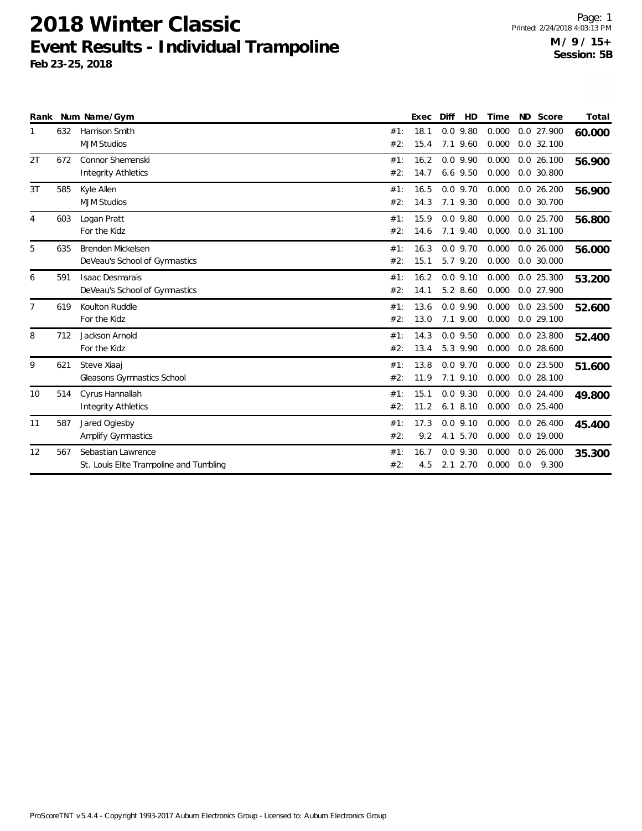| Rank           |     | Num Name/Gym                                                  |            | Exec         | Diff                       | HD | Time           |     | ND Score                     | Total  |
|----------------|-----|---------------------------------------------------------------|------------|--------------|----------------------------|----|----------------|-----|------------------------------|--------|
| 1              | 632 | Harrison Smith<br><b>MJM Studios</b>                          | #1:<br>#2: | 18.1<br>15.4 | $0.0$ 9.80<br>7.1 9.60     |    | 0.000<br>0.000 |     | $0.0$ 27.900<br>$0.0$ 32.100 | 60.000 |
| 2T             | 672 | Connor Shemenski<br><b>Integrity Athletics</b>                | #1:<br>#2: | 16.2<br>14.7 | $0.0$ 9.90<br>$6.6$ 9.50   |    | 0.000<br>0.000 |     | $0.0$ 26.100<br>0.0 30.800   | 56.900 |
| 3T             | 585 | Kyle Allen<br><b>MJM Studios</b>                              | #1:<br>#2: | 16.5<br>14.3 | $0.0$ 9.70<br>7.1 9.30     |    | 0.000<br>0.000 |     | $0.0$ 26.200<br>0.0 30.700   | 56.900 |
| 4              | 603 | Logan Pratt<br>For the Kidz                                   | #1:<br>#2: | 15.9<br>14.6 | $0.0$ 9.80<br>7.1 9.40     |    | 0.000<br>0.000 |     | $0.0$ 25.700<br>$0.0$ 31.100 | 56.800 |
| 5              | 635 | Brenden Mickelsen<br>DeVeau's School of Gymnastics            | #1:<br>#2: | 16.3<br>15.1 | $0.0$ 9.70<br>5.7 9.20     |    | 0.000<br>0.000 |     | $0.0$ 26.000<br>$0.0$ 30.000 | 56.000 |
| 6              | 591 | <b>Isaac Desmarais</b><br>DeVeau's School of Gymnastics       | #1:<br>#2: | 16.2<br>14.1 | $0.0$ 9.10<br>5.2 8.60     |    | 0.000<br>0.000 |     | $0.0$ 25.300<br>0.0 27.900   | 53.200 |
| $\overline{7}$ | 619 | Koulton Ruddle<br>For the Kidz                                | #1:<br>#2: | 13.6<br>13.0 | $0.0$ 9.90<br>7.1 9.00     |    | 0.000<br>0.000 |     | 0.0 23.500<br>$0.0$ 29.100   | 52.600 |
| 8              | 712 | Jackson Arnold<br>For the Kidz                                | #1:<br>#2: | 14.3<br>13.4 | $0.0$ 9.50<br>5.3 9.90     |    | 0.000<br>0.000 |     | $0.0$ 23.800<br>$0.0$ 28.600 | 52.400 |
| 9              | 621 | Steve Xiaaj<br>Gleasons Gymnastics School                     | #1:<br>#2: | 13.8<br>11.9 | $0.0$ 9.70<br>7.1 9.10     |    | 0.000<br>0.000 |     | $0.0$ 23.500<br>$0.0$ 28.100 | 51.600 |
| 10             | 514 | Cyrus Hannallah<br><b>Integrity Athletics</b>                 | #1:<br>#2: | 15.1<br>11.2 | $0.0$ 9.30<br>$6.1$ 8.10   |    | 0.000<br>0.000 |     | $0.0$ 24.400<br>$0.0$ 25.400 | 49.800 |
| 11             | 587 | Jared Oglesby<br>Amplify Gymnastics                           | #1:<br>#2: | 17.3<br>9.2  | $0.0$ 9.10<br>4.1 5.70     |    | 0.000<br>0.000 |     | $0.0$ 26.400<br>$0.0$ 19.000 | 45.400 |
| 12             | 567 | Sebastian Lawrence<br>St. Louis Elite Trampoline and Tumbling | #1:<br>#2: | 16.7<br>4.5  | $0.0$ 9.30<br>$2.1$ $2.70$ |    | 0.000<br>0.000 | 0.0 | 0.026.000<br>9.300           | 35.300 |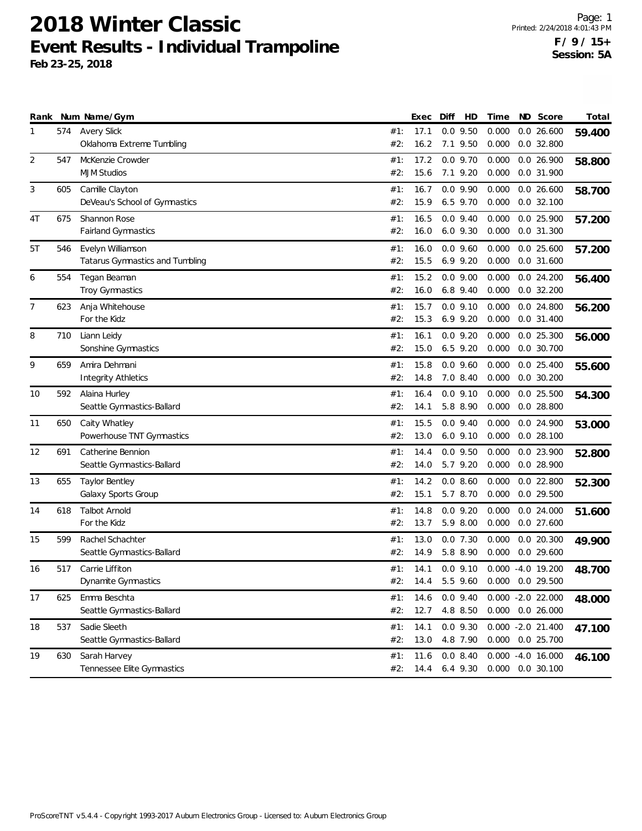| Rank           |     | Num Name/Gym                    |     | Exec | Diff         | HD       | Time  | ND | Score                | Total  |
|----------------|-----|---------------------------------|-----|------|--------------|----------|-------|----|----------------------|--------|
| 1              | 574 | <b>Avery Slick</b>              | #1: | 17.1 | $0.0$ 9.50   |          | 0.000 |    | $0.0$ 26.600         | 59.400 |
|                |     | Oklahoma Extreme Tumbling       | #2: | 16.2 | 7.1 9.50     |          | 0.000 |    | $0.0$ 32.800         |        |
| $\overline{2}$ | 547 | McKenzie Crowder                | #1: | 17.2 | $0.0$ 9.70   |          | 0.000 |    | 0.0 26.900           | 58.800 |
|                |     | <b>MJM Studios</b>              | #2: | 15.6 | 7.1 9.20     |          | 0.000 |    | 0.0 31.900           |        |
| 3              | 605 | Camille Clayton                 | #1: | 16.7 | $0.0$ 9.90   |          | 0.000 |    | 0.026.600            | 58.700 |
|                |     | DeVeau's School of Gymnastics   | #2: | 15.9 | 6.5 9.70     |          | 0.000 |    | $0.0$ 32.100         |        |
| 4T             | 675 | Shannon Rose                    | #1: | 16.5 | $0.0$ 9.40   |          | 0.000 |    | 0.0 25.900           | 57.200 |
|                |     | Fairland Gymnastics             | #2: | 16.0 | $6.0$ $9.30$ |          | 0.000 |    | 0.0 31.300           |        |
| 5T             | 546 | Evelyn Williamson               | #1: | 16.0 | $0.0$ 9.60   |          | 0.000 |    | $0.0$ 25.600         | 57.200 |
|                |     | Tatarus Gymnastics and Tumbling | #2: | 15.5 | $6.9$ $9.20$ |          | 0.000 |    | $0.0$ 31.600         |        |
| 6              | 554 | Tegan Beaman                    | #1: | 15.2 | $0.0$ 9.00   |          | 0.000 |    | 0.024.200            | 56.400 |
|                |     | Troy Gymnastics                 | #2: | 16.0 | $6.8$ 9.40   |          | 0.000 |    | $0.0$ 32.200         |        |
| 7              | 623 | Anja Whitehouse                 | #1: | 15.7 | $0.0$ $9.10$ |          | 0.000 |    | 0.0 24.800           | 56.200 |
|                |     | For the Kidz                    | #2: | 15.3 | $6.9$ $9.20$ |          | 0.000 |    | $0.0$ 31.400         |        |
| 8              | 710 | Liann Leidy                     | #1: | 16.1 | $0.0$ 9.20   |          | 0.000 |    | $0.0$ 25.300         | 56.000 |
|                |     | Sonshine Gymnastics             | #2: | 15.0 | $6.5$ 9.20   |          | 0.000 |    | $0.0$ 30.700         |        |
| 9              | 659 | Amira Dehmani                   | #1: | 15.8 | $0.0$ 9.60   |          | 0.000 |    | $0.0$ 25.400         | 55.600 |
|                |     | <b>Integrity Athletics</b>      | #2: | 14.8 | 7.0 8.40     |          | 0.000 |    | $0.0$ 30.200         |        |
| 10             | 592 | Alaina Hurley                   | #1: | 16.4 | $0.0$ $9.10$ |          | 0.000 |    | $0.0$ 25.500         | 54.300 |
|                |     | Seattle Gymnastics-Ballard      | #2: | 14.1 | 5.8 8.90     |          | 0.000 |    | $0.0$ 28.800         |        |
| 11             | 650 | Caity Whatley                   | #1: | 15.5 | $0.0$ 9.40   |          | 0.000 |    | 0.0 24.900           | 53.000 |
|                |     | Powerhouse TNT Gymnastics       | #2: | 13.0 | $6.0$ $9.10$ |          | 0.000 |    | $0.0$ 28.100         |        |
| 12             | 691 | Catherine Bennion               | #1: | 14.4 | $0.0$ 9.50   |          | 0.000 |    | 0.0 23.900           | 52.800 |
|                |     | Seattle Gymnastics-Ballard      | #2: | 14.0 | 5.7 9.20     |          | 0.000 |    | $0.0$ 28.900         |        |
| 13             | 655 | <b>Taylor Bentley</b>           | #1: | 14.2 | 0.08.60      |          | 0.000 |    | $0.0$ 22.800         | 52.300 |
|                |     | Galaxy Sports Group             | #2: | 15.1 | 5.7 8.70     |          | 0.000 |    | 0.0 29.500           |        |
| 14             | 618 | <b>Talbot Arnold</b>            | #1: | 14.8 | $0.0$ 9.20   |          | 0.000 |    | $0.0$ 24.000         | 51.600 |
|                |     | For the Kidz                    | #2: | 13.7 | 5.9 8.00     |          | 0.000 |    | $0.0$ 27.600         |        |
| 15             | 599 | Rachel Schachter                | #1: | 13.0 | $0.0$ 7.30   |          | 0.000 |    | $0.0$ 20.300         | 49.900 |
|                |     | Seattle Gymnastics-Ballard      | #2: | 14.9 | 5.8 8.90     |          | 0.000 |    | $0.0$ 29.600         |        |
| 16             | 517 | Carrie Liffiton                 | #1: | 14.1 | $0.0$ 9.10   |          |       |    | $0.000 - 4.0 19.200$ | 48.700 |
|                |     | Dynamite Gymnastics             | #2: | 14.4 |              | 5.5 9.60 |       |    | 0.000 0.0 29.500     |        |
| 17             | 625 | Emma Beschta                    | #1: | 14.6 | $0.0$ 9.40   |          |       |    | $0.000 - 2.0 22.000$ | 48.000 |
|                |     | Seattle Gymnastics-Ballard      | #2: | 12.7 | 4.8 8.50     |          |       |    | $0.000$ $0.0$ 26.000 |        |
| 18             | 537 | Sadie Sleeth                    | #1: | 14.1 | $0.0$ 9.30   |          |       |    | $0.000 - 2.0 21.400$ | 47.100 |
|                |     | Seattle Gymnastics-Ballard      | #2: | 13.0 | 4.8 7.90     |          |       |    | 0.000 0.0 25.700     |        |
| 19             | 630 | Sarah Harvey                    | #1: | 11.6 | 0.08.40      |          |       |    | $0.000 - 4.0 16.000$ | 46.100 |
|                |     | Tennessee Elite Gymnastics      | #2: | 14.4 | 6.4 9.30     |          |       |    | 0.000 0.0 30.100     |        |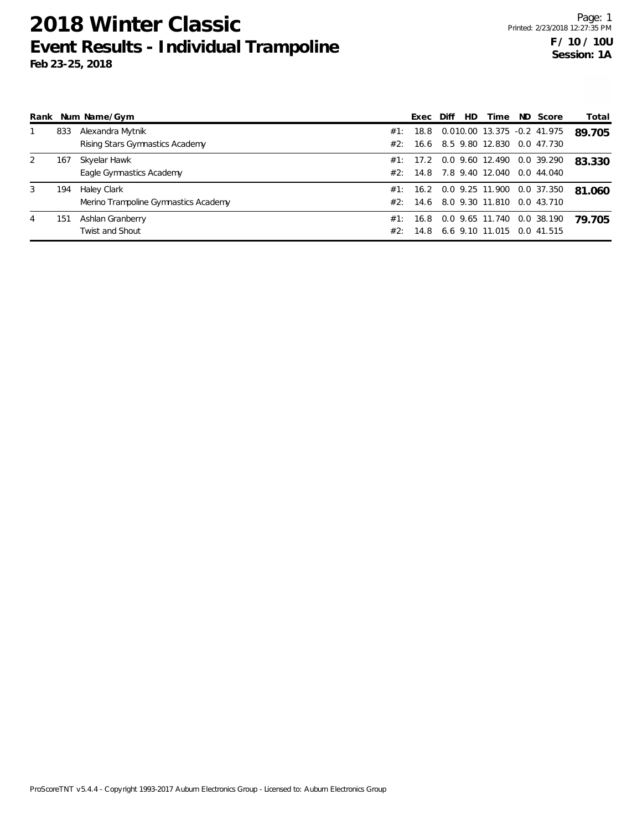| Rank |     | Num Name/Gym                         |     | Exec     | Diff | HD. | Time                                 | ND Score   | Total  |
|------|-----|--------------------------------------|-----|----------|------|-----|--------------------------------------|------------|--------|
|      | 833 | Alexandra Mytnik                     | #1: |          |      |     | 18.8  0.010.00  13.375  -0.2  41.975 |            | 89.705 |
|      |     | Rising Stars Gymnastics Academy      | #2: | 16.6     |      |     | 8.5 9.80 12.830                      | 0.0 47.730 |        |
| 2    | 167 | Skyelar Hawk                         |     |          |      |     | #1: 17.2 0.0 9.60 12.490             | 0.0 39.290 | 83.330 |
|      |     | Eagle Gymnastics Academy             |     | #2: 14.8 |      |     | 7.8 9.40 12.040                      | 0.0 44.040 |        |
| 3    | 194 | Haley Clark                          | #1: |          |      |     | 16.2 0.0 9.25 11.900                 | 0.0 37.350 | 81.060 |
|      |     | Merino Trampoline Gymnastics Academy | #2∵ | 14.6     |      |     | 8.0 9.30 11.810                      | 0.0 43.710 |        |
| 4    | 151 | Ashlan Granberry                     | #1: | 16.8     |      |     | 0.0 9.65 11.740                      | 0.0 38.190 | 79.705 |
|      |     | Twist and Shout                      | #2: | 14.8     |      |     | 6.6 9.10 11.015 0.0 41.515           |            |        |

ProScoreTNT v5.4.4 - Copyright 1993-2017 Auburn Electronics Group - Licensed to: Auburn Electronics Group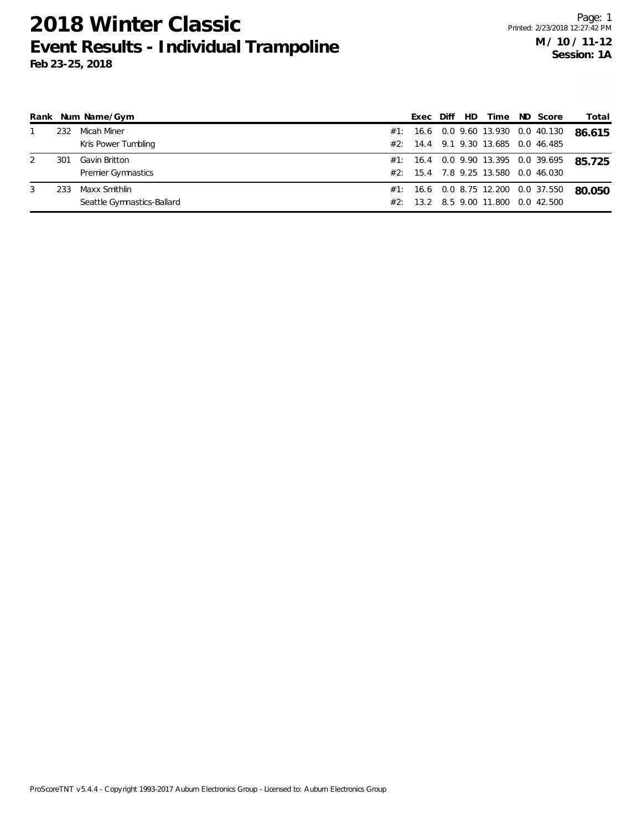| Rank |     | Num Name/Gym               |     | Exec    | Diff | HD. | Time                                | ND Score   | Total  |
|------|-----|----------------------------|-----|---------|------|-----|-------------------------------------|------------|--------|
|      | 232 | Micah Miner                | #1: |         |      |     | 16.6 0.0 9.60 13.930 0.0 40.130     |            | 86.615 |
|      |     | Kris Power Tumbling        | #2: |         |      |     | 14.4 9.1 9.30 13.685 0.0 46.485     |            |        |
|      | 301 | Gavin Britton              |     |         |      |     | #1: 16.4 0.0 9.90 13.395 0.0 39.695 |            | 85.725 |
|      |     | <b>Premier Gymnastics</b>  |     |         |      |     | #2: 15.4 7.8 9.25 13.580 0.0 46.030 |            |        |
| 3    | 233 | Maxx Smithlin              | #1: |         |      |     | 16.6 0.0 8.75 12.200 0.0 37.550     |            | 80.050 |
|      |     | Seattle Gymnastics-Ballard | #2: | $-13.2$ |      |     | 8.5 9.00 11.800                     | 0.0 42.500 |        |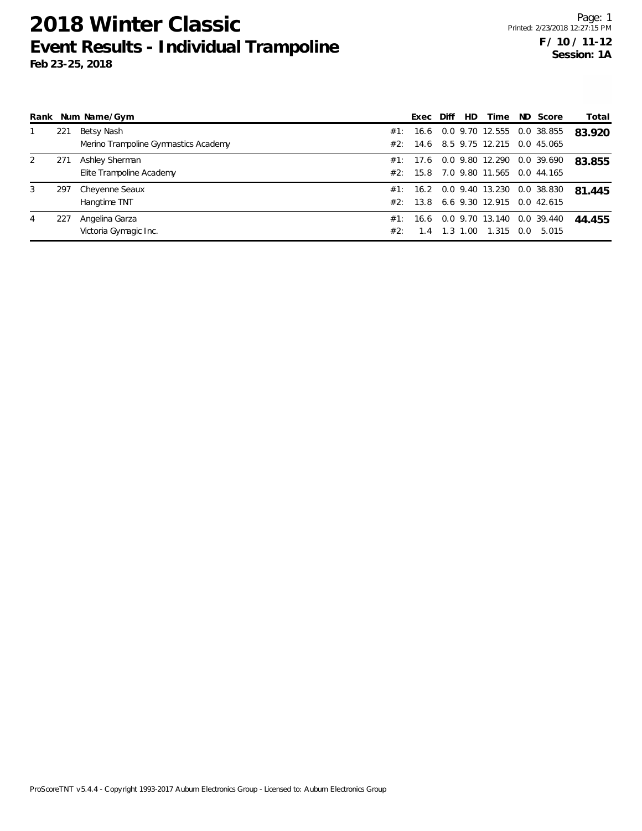| Rank |     | Num Name/Gym                         |     | Exec   | Diff | HD.  | Time                            |     | ND Score   | Total  |
|------|-----|--------------------------------------|-----|--------|------|------|---------------------------------|-----|------------|--------|
|      | 221 | Betsy Nash                           | #1: | 16.6   |      |      | 0.0 9.70 12.555                 |     | 0.0 38.855 | 83.920 |
|      |     | Merino Trampoline Gymnastics Academy | #2: | 14.6   |      |      | 8.5 9.75 12.215 0.0 45.065      |     |            |        |
| 2    | 271 | Ashley Sherman                       | #1: | - 17.6 |      |      | 0.0 9.80 12.290                 |     | 0.0 39.690 | 83.855 |
|      |     | Elite Trampoline Academy             | #2: | 15.8   |      |      | 7.0 9.80 11.565 0.0 44.165      |     |            |        |
| 3    | 297 | Cheyenne Seaux                       | #1: |        |      |      | 16.2 0.0 9.40 13.230 0.0 38.830 |     |            | 81.445 |
|      |     | Hangtime TNT                         | #2: | 13.8   |      |      | 6.6 9.30 12.915                 |     | 0.042.615  |        |
| 4    | 227 | Angelina Garza                       | #1: | 16.6   |      |      | 0.0 9.70 13.140                 |     | 0.0 39.440 | 44.455 |
|      |     | Victoria Gymagic Inc.                | #2: | 1.4    | 1.3  | .00. | 1.315                           | 0.0 | 5.015      |        |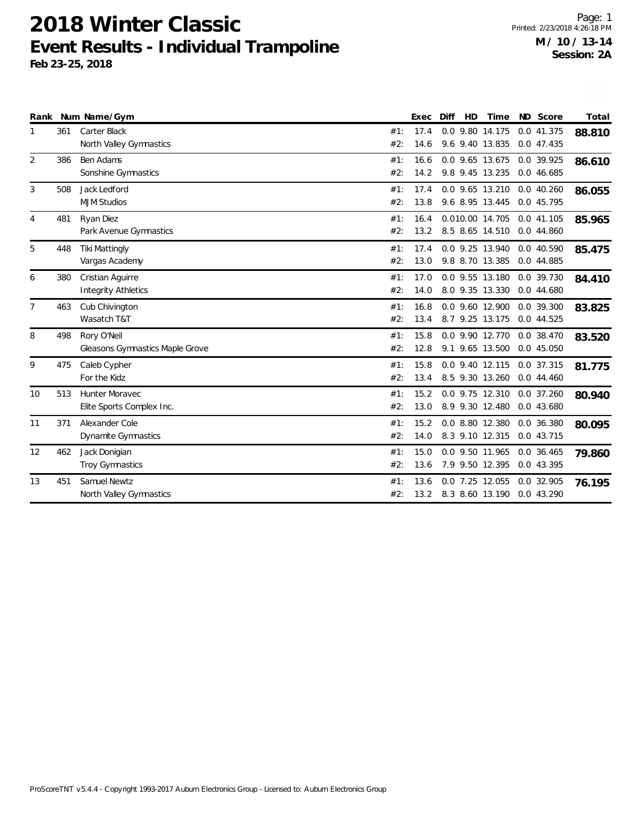|                |     | Rank Num Name/Gym                                  |            | Exec         | Diff | HD | Time                               | ND Score                   | Total  |
|----------------|-----|----------------------------------------------------|------------|--------------|------|----|------------------------------------|----------------------------|--------|
| $\mathbf{1}$   | 361 | <b>Carter Black</b><br>North Valley Gymnastics     | #1:<br>#2: | 17.4<br>14.6 |      |    | 0.0 9.80 14.175<br>9.6 9.40 13.835 | 0.0 41.375<br>0.0 47.435   | 88.810 |
| $\overline{2}$ | 386 | Ben Adams<br>Sonshine Gymnastics                   | #1:<br>#2: | 16.6<br>14.2 |      |    | 0.0 9.65 13.675<br>9.8 9.45 13.235 | 0.0 39.925<br>0.046.685    | 86.610 |
| 3              | 508 | Jack Ledford<br><b>MJM Studios</b>                 | #1:<br>#2: | 17.4<br>13.8 |      |    | 0.0 9.65 13.210<br>9.6 8.95 13.445 | 0.040.260<br>0.0 45.795    | 86.055 |
| $\overline{4}$ | 481 | Ryan Diez<br>Park Avenue Gymnastics                | #1:<br>#2: | 16.4<br>13.2 |      |    | 0.010.00 14.705<br>8.5 8.65 14.510 | 0.0 41.105<br>0.0 44.860   | 85.965 |
| 5              | 448 | <b>Tiki Mattingly</b><br>Vargas Academy            | #1:<br>#2: | 17.4<br>13.0 |      |    | 0.0 9.25 13.940<br>9.8 8.70 13.385 | 0.0 40.590<br>0.0 44.885   | 85.475 |
| 6              | 380 | Cristian Aguirre<br><b>Integrity Athletics</b>     | #1:<br>#2: | 17.0<br>14.0 |      |    | 0.0 9.55 13.180<br>8.0 9.35 13.330 | 0.0 39.730<br>0.0 44.680   | 84.410 |
| 7              | 463 | Cub Chivington<br>Wasatch T&T                      | #1:<br>#2: | 16.8<br>13.4 |      |    | 0.0 9.60 12.900<br>8.7 9.25 13.175 | 0.0 39.300<br>0.0 44.525   | 83.825 |
| 8              | 498 | Rory O'Neil<br>Gleasons Gymnastics Maple Grove     | #1:<br>#2: | 15.8<br>12.8 |      |    | 0.0 9.90 12.770<br>9.1 9.65 13.500 | 0.0 38.470<br>0.0 45.050   | 83.520 |
| 9              | 475 | Caleb Cypher<br>For the Kidz                       | #1:<br>#2: | 15.8<br>13.4 |      |    | 0.0 9.40 12.115<br>8.5 9.30 13.260 | 0.0 37.315<br>0.0 44.460   | 81.775 |
| 10             | 513 | <b>Hunter Moravec</b><br>Elite Sports Complex Inc. | #1:<br>#2: | 15.2<br>13.0 |      |    | 0.0 9.75 12.310<br>8.9 9.30 12.480 | $0.0$ 37.260<br>0.0 43.680 | 80.940 |
| 11             | 371 | Alexander Cole<br>Dynamite Gymnastics              | #1:<br>#2: | 15.2<br>14.0 |      |    | 0.0 8.80 12.380<br>8.3 9.10 12.315 | 0.0 36.380<br>0.0 43.715   | 80.095 |
| 12             | 462 | Jack Donigian<br><b>Troy Gymnastics</b>            | #1:<br>#2: | 15.0<br>13.6 |      |    | 0.0 9.50 11.965<br>7.9 9.50 12.395 | 0.0 36.465<br>0.0 43.395   | 79.860 |
| 13             | 451 | Samuel Newtz<br>North Valley Gymnastics            | #1:<br>#2: | 13.6<br>13.2 |      |    | 0.0 7.25 12.055<br>8.3 8.60 13.190 | 0.0 32.905<br>0.0 43.290   | 76.195 |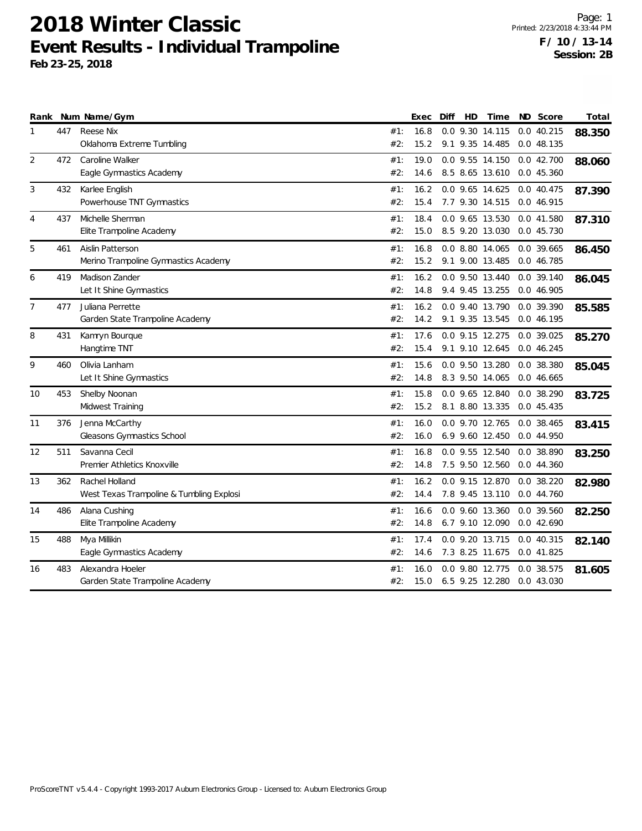|                |     | Rank Num Name/Gym                        |     | Exec | Diff | HD | Time            |     | ND Score   | Total  |
|----------------|-----|------------------------------------------|-----|------|------|----|-----------------|-----|------------|--------|
| 1              | 447 | <b>Reese Nix</b>                         | #1: | 16.8 |      |    | 0.0 9.30 14.115 |     | 0.0 40.215 | 88.350 |
|                |     | Oklahoma Extreme Tumbling                | #2: | 15.2 |      |    | 9.1 9.35 14.485 |     | 0.0 48.135 |        |
| 2              | 472 | Caroline Walker                          | #1: | 19.0 |      |    | 0.0 9.55 14.150 |     | 0.042.700  | 88.060 |
|                |     | Eagle Gymnastics Academy                 | #2: | 14.6 |      |    | 8.5 8.65 13.610 |     | 0.0 45.360 |        |
| 3              | 432 | Karlee English                           | #1: | 16.2 |      |    | 0.0 9.65 14.625 |     | 0.0 40.475 | 87.390 |
|                |     | Powerhouse TNT Gymnastics                | #2: | 15.4 |      |    | 7.7 9.30 14.515 |     | 0.0 46.915 |        |
| 4              | 437 | Michelle Sherman                         | #1: | 18.4 |      |    | 0.0 9.65 13.530 |     | 0.0 41.580 | 87.310 |
|                |     | Elite Trampoline Academy                 | #2: | 15.0 |      |    | 8.5 9.20 13.030 |     | 0.0 45.730 |        |
| 5              | 461 | Aislin Patterson                         | #1: | 16.8 |      |    | 0.0 8.80 14.065 |     | 0.0 39.665 | 86.450 |
|                |     | Merino Trampoline Gymnastics Academy     | #2: | 15.2 |      |    | 9.1 9.00 13.485 |     | 0.0 46.785 |        |
| 6              | 419 | Madison Zander                           | #1: | 16.2 |      |    | 0.0 9.50 13.440 |     | 0.0 39.140 | 86.045 |
|                |     | Let It Shine Gymnastics                  | #2: | 14.8 |      |    | 9.4 9.45 13.255 |     | 0.0 46.905 |        |
| $\overline{7}$ | 477 | Juliana Perrette                         | #1: | 16.2 |      |    | 0.0 9.40 13.790 |     | 0.0 39.390 | 85.585 |
|                |     | Garden State Trampoline Academy          | #2: | 14.2 |      |    | 9.1 9.35 13.545 |     | 0.0 46.195 |        |
| 8              | 431 | Kamryn Bourque                           | #1: | 17.6 |      |    | 0.0 9.15 12.275 |     | 0.0 39.025 | 85.270 |
|                |     | Hangtime TNT                             | #2: | 15.4 |      |    | 9.1 9.10 12.645 |     | 0.0 46.245 |        |
| 9              | 460 | Olivia Lanham                            | #1: | 15.6 |      |    | 0.0 9.50 13.280 |     | 0.0 38.380 | 85.045 |
|                |     | Let It Shine Gymnastics                  | #2: | 14.8 |      |    | 8.3 9.50 14.065 |     | 0.0 46.665 |        |
| 10             | 453 | Shelby Noonan                            | #1: | 15.8 |      |    | 0.0 9.65 12.840 |     | 0.0 38.290 | 83.725 |
|                |     | Midwest Training                         | #2: | 15.2 |      |    | 8.1 8.80 13.335 |     | 0.0 45.435 |        |
| 11             | 376 | Jenna McCarthy                           | #1: | 16.0 |      |    | 0.0 9.70 12.765 |     | 0.0 38.465 | 83.415 |
|                |     | Gleasons Gymnastics School               | #2: | 16.0 |      |    | 6.9 9.60 12.450 |     | 0.0 44.950 |        |
| 12             | 511 | Savanna Cecil                            | #1: | 16.8 |      |    | 0.0 9.55 12.540 |     | 0.0 38.890 | 83.250 |
|                |     | Premier Athletics Knoxville              | #2: | 14.8 |      |    | 7.5 9.50 12.560 |     | 0.044.360  |        |
| 13             | 362 | Rachel Holland                           | #1: | 16.2 |      |    | 0.0 9.15 12.870 |     | 0.0 38.220 | 82.980 |
|                |     | West Texas Trampoline & Tumbling Explosi | #2: | 14.4 |      |    | 7.8 9.45 13.110 |     | 0.0 44.760 |        |
| 14             | 486 | Alana Cushing                            | #1: | 16.6 |      |    | 0.0 9.60 13.360 |     | 0.0 39.560 | 82.250 |
|                |     | Elite Trampoline Academy                 | #2: | 14.8 |      |    | 6.7 9.10 12.090 |     | 0.0 42.690 |        |
| 15             | 488 | Mya Millikin                             | #1: | 17.4 |      |    | 0.0 9.20 13.715 |     | 0.0 40.315 | 82.140 |
|                |     | Eagle Gymnastics Academy                 | #2: | 14.6 |      |    | 7.3 8.25 11.675 |     | 0.0 41.825 |        |
| 16             | 483 | Alexandra Hoeler                         | #1: | 16.0 |      |    | 0.0 9.80 12.775 | 0.0 | 38.575     | 81.605 |
|                |     | Garden State Trampoline Academy          | #2: | 15.0 |      |    | 6.5 9.25 12.280 |     | 0.0 43.030 |        |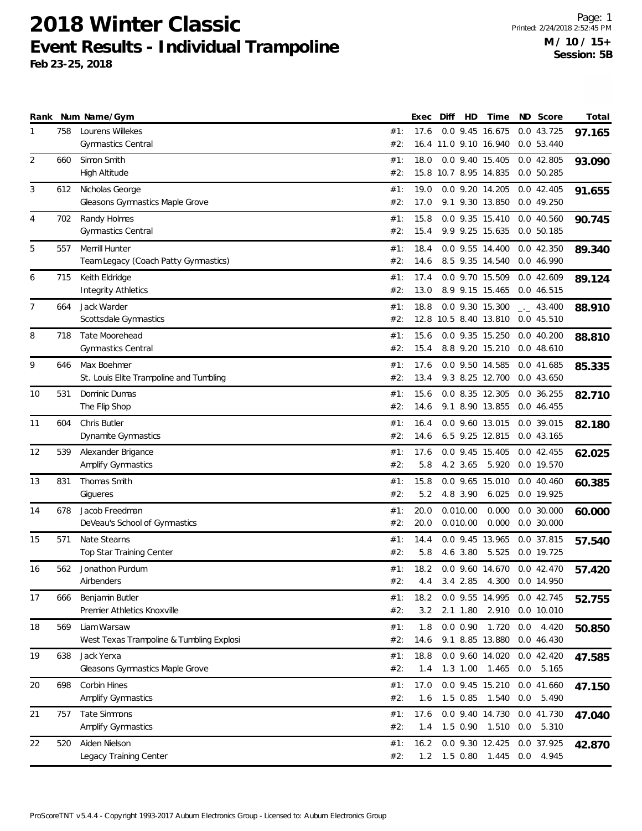| Rank           |     | Num Name/Gym                                            |            | Exec         | Diff | HD                   | Time                                             |     | ND Score                          | Total  |
|----------------|-----|---------------------------------------------------------|------------|--------------|------|----------------------|--------------------------------------------------|-----|-----------------------------------|--------|
| 1              | 758 | Lourens Willekes<br><b>Gymnastics Central</b>           | #1:<br>#2: | 17.6         |      |                      | 0.0 9.45 16.675<br>16.4 11.0 9.10 16.940         |     | 0.043.725<br>0.0 53.440           | 97.165 |
| 2              | 660 | Simon Smith<br><b>High Altitude</b>                     | #1:<br>#2: | 18.0         |      |                      | 0.0 9.40 15.405<br>15.8 10.7 8.95 14.835         |     | 0.0 42.805<br>0.050.285           | 93.090 |
| 3              | 612 | Nicholas George<br>Gleasons Gymnastics Maple Grove      | #1:<br>#2: | 19.0<br>17.0 |      |                      | 0.0 9.20 14.205<br>9.1 9.30 13.850               |     | 0.042.405<br>0.0 49.250           | 91.655 |
| 4              | 702 | Randy Holmes<br><b>Gymnastics Central</b>               | #1:<br>#2: | 15.8<br>15.4 |      |                      | 0.0 9.35 15.410<br>9.9 9.25 15.635               |     | 0.0 40.560<br>0.050.185           | 90.745 |
| 5              | 557 | Merrill Hunter<br>Team Legacy (Coach Patty Gymnastics)  | #1:<br>#2: | 18.4<br>14.6 |      |                      | 0.0 9.55 14.400<br>8.5 9.35 14.540               |     | 0.0 42.350<br>0.0 46.990          | 89.340 |
| 6              | 715 | Keith Eldridge<br><b>Integrity Athletics</b>            | #1:<br>#2: | 17.4<br>13.0 |      |                      | 0.0 9.70 15.509<br>8.9 9.15 15.465               |     | 0.042.609<br>0.0 46.515           | 89.124 |
| $\overline{7}$ | 664 | Jack Warder<br>Scottsdale Gymnastics                    | #1:<br>#2: | 18.8         |      |                      | 0.0 9.30 15.300<br>12.8 10.5 8.40 13.810         |     | $\frac{1}{2}$ 43.400<br>0.045.510 | 88.910 |
| 8              | 718 | Tate Moorehead<br><b>Gymnastics Central</b>             | #1:<br>#2: | 15.6<br>15.4 |      |                      | 0.0 9.35 15.250<br>8.8 9.20 15.210               |     | $0.0$ 40.200<br>0.0 48.610        | 88.810 |
| 9              | 646 | Max Boehmer<br>St. Louis Elite Trampoline and Tumbling  | #1:<br>#2: | 17.6<br>13.4 |      |                      | 0.0 9.50 14.585<br>9.3 8.25 12.700               |     | 0.0 41.685<br>0.0 43.650          | 85.335 |
| 10             | 531 | Dominic Dumas<br>The Flip Shop                          | #1:<br>#2: | 15.6<br>14.6 |      |                      | 0.0 8.35 12.305<br>9.1 8.90 13.855               |     | $0.0$ 36.255<br>0.046.455         | 82.710 |
| 11             | 604 | Chris Butler<br>Dynamite Gymnastics                     | #1:<br>#2: | 16.4<br>14.6 |      |                      | 0.0 9.60 13.015<br>6.5 9.25 12.815               |     | 0.0 39.015<br>0.043.165           | 82.180 |
| 12             | 539 | Alexander Brigance<br>Amplify Gymnastics                | #1:<br>#2: | 17.6<br>5.8  |      | 4.2 3.65             | 0.0 9.45 15.405<br>5.920                         |     | $0.0$ 42.455<br>0.0 19.570        | 62.025 |
| 13             | 831 | Thomas Smith<br>Gigueres                                | #1:<br>#2: | 15.8<br>5.2  |      | 4.8 3.90             | 0.0 9.65 15.010<br>6.025                         |     | 0.040.460<br>0.0 19.925           | 60.385 |
| 14             | 678 | Jacob Freedman<br>DeVeau's School of Gymnastics         | #1:<br>#2: | 20.0<br>20.0 |      | 0.010.00<br>0.010.00 | 0.000<br>0.000                                   |     | $0.0$ 30.000<br>$0.0$ 30.000      | 60.000 |
| 15             | 571 | Nate Stearns<br>Top Star Training Center                | #1:<br>#2: | 14.4<br>5.8  |      | 4.6 3.80             | 0.0 9.45 13.965<br>5.525                         |     | 0.0 37.815<br>0.0 19.725          | 57.540 |
| 16             | 562 | Jonathon Purdum<br>Airbenders                           | #1:<br>#2: | 18.2         |      |                      | 0.0 9.60 14.670<br>4.4 3.4 2.85 4.300 0.0 14.950 |     | 0.042.470                         | 57.420 |
| 17             | 666 | Benjamin Butler<br>Premier Athletics Knoxville          | #1:<br>#2: | 18.2<br>3.2  |      | $2.1$ 1.80           | 0.0 9.55 14.995<br>2.910                         |     | 0.0 42.745<br>0.0 10.010          | 52.755 |
| 18             | 569 | Liam Warsaw<br>West Texas Trampoline & Tumbling Explosi | #1:<br>#2: | 1.8<br>14.6  |      | 0.0 0.90             | 1.720<br>9.1 8.85 13.880                         | 0.0 | 4.420<br>0.0 46.430               | 50.850 |
| 19             | 638 | Jack Yerxa<br>Gleasons Gymnastics Maple Grove           | #1:<br>#2: | 18.8<br>1.4  |      | $1.3$ 1.00           | 0.0 9.60 14.020<br>1.465                         |     | 0.0 42.420<br>$0.0$ 5.165         | 47.585 |
| 20             | 698 | Corbin Hines<br>Amplify Gymnastics                      | #1:<br>#2: | 17.0<br>1.6  |      |                      | 0.0 9.45 15.210<br>1.5 0.85 1.540                |     | 0.0 41.660<br>0.0 5.490           | 47.150 |
| 21             | 757 | Tate Simmons<br>Amplify Gymnastics                      | #1:<br>#2: | 17.6<br>1.4  |      | $1.5 \t0.90$         | 0.0 9.40 14.730<br>1.510                         |     | 0.0 41.730<br>0.0 5.310           | 47.040 |
| 22             | 520 | Aiden Nielson<br>Legacy Training Center                 | #1:<br>#2: | 16.2<br>1.2  |      |                      | 0.0 9.30 12.425<br>1.5 0.80 1.445                |     | 0.0 37.925<br>$0.0$ 4.945         | 42.870 |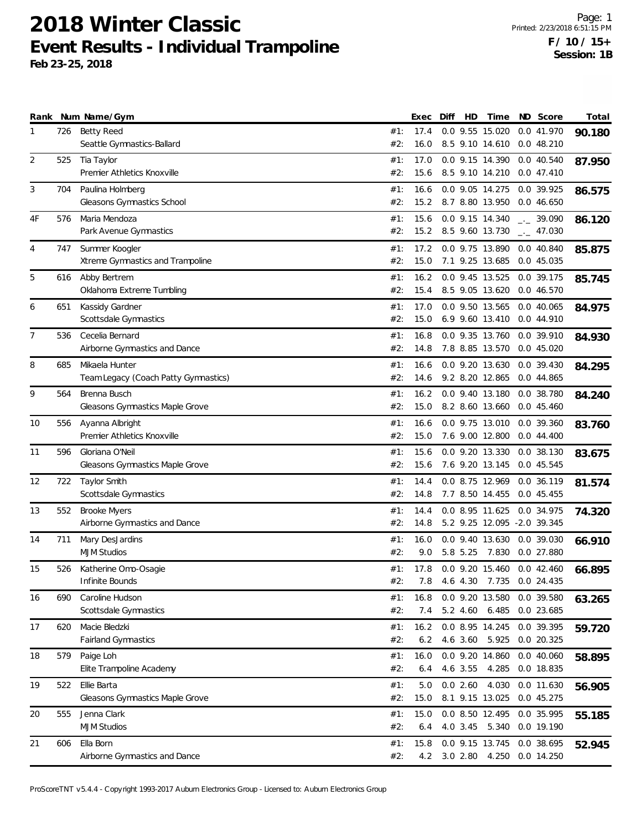|    |     | Rank Num Name/Gym                                      |            | Exec         | Diff | HD       | Time                                           | ND Score                   | Total  |
|----|-----|--------------------------------------------------------|------------|--------------|------|----------|------------------------------------------------|----------------------------|--------|
| 1  | 726 | Betty Reed<br>Seattle Gymnastics-Ballard               | #1:<br>#2: | 17.4<br>16.0 |      |          | 0.0 9.55 15.020<br>8.5 9.10 14.610             | 0.0 41.970<br>0.048.210    | 90.180 |
| 2  | 525 | Tia Taylor<br>Premier Athletics Knoxville              | #1:<br>#2: | 17.0<br>15.6 |      |          | 0.0 9.15 14.390<br>8.5 9.10 14.210             | 0.0 40.540<br>0.047.410    | 87.950 |
| 3  | 704 | Paulina Holmberg<br>Gleasons Gymnastics School         | #1:<br>#2: | 16.6<br>15.2 |      |          | 0.0 9.05 14.275<br>8.7 8.80 13.950             | 0.0 39.925<br>0.046.650    | 86.575 |
| 4F | 576 | Maria Mendoza<br>Park Avenue Gymnastics                | #1:<br>#2: | 15.6<br>15.2 |      |          | 0.0 9.15 14.340<br>8.5 9.60 13.730             | $-2$ 39.090<br>$-2$ 47.030 | 86.120 |
| 4  | 747 | Summer Koogler<br>Xtreme Gymnastics and Trampoline     | #1:<br>#2: | 17.2<br>15.0 |      |          | 0.0 9.75 13.890<br>7.1 9.25 13.685             | 0.0 40.840<br>0.0 45.035   | 85.875 |
| 5  | 616 | Abby Bertrem<br>Oklahoma Extreme Tumbling              | #1:<br>#2: | 16.2<br>15.4 |      |          | 0.0 9.45 13.525<br>8.5 9.05 13.620             | 0.0 39.175<br>0.0 46.570   | 85.745 |
| 6  | 651 | Kassidy Gardner<br>Scottsdale Gymnastics               | #1:<br>#2: | 17.0<br>15.0 |      |          | 0.0 9.50 13.565<br>6.9 9.60 13.410             | 0.0 40.065<br>0.0 44.910   | 84.975 |
| 7  | 536 | Cecelia Bernard<br>Airborne Gymnastics and Dance       | #1:<br>#2: | 16.8<br>14.8 |      |          | 0.0 9.35 13.760<br>7.8 8.85 13.570             | 0.0 39.910<br>0.045.020    | 84.930 |
| 8  | 685 | Mikaela Hunter<br>Team Legacy (Coach Patty Gymnastics) | #1:<br>#2: | 16.6<br>14.6 |      |          | 0.0 9.20 13.630<br>9.2 8.20 12.865             | 0.0 39.430<br>0.0 44.865   | 84.295 |
| 9  | 564 | Brenna Busch<br>Gleasons Gymnastics Maple Grove        | #1:<br>#2: | 16.2<br>15.0 |      |          | 0.0 9.40 13.180<br>8.2 8.60 13.660             | 0.0 38.780<br>0.0 45.460   | 84.240 |
| 10 | 556 | Ayanna Albright<br>Premier Athletics Knoxville         | #1:<br>#2: | 16.6<br>15.0 |      |          | 0.0 9.75 13.010<br>7.6 9.00 12.800             | 0.0 39.360<br>0.044.400    | 83.760 |
| 11 | 596 | Gloriana O'Neil<br>Gleasons Gymnastics Maple Grove     | #1:<br>#2: | 15.6<br>15.6 |      |          | 0.0 9.20 13.330<br>7.6 9.20 13.145             | 0.0 38.130<br>0.0 45.545   | 83.675 |
| 12 | 722 | Taylor Smith<br>Scottsdale Gymnastics                  | #1:<br>#2: | 14.4<br>14.8 |      |          | 0.0 8.75 12.969<br>7.7 8.50 14.455             | 0.0 36.119<br>0.045.455    | 81.574 |
| 13 | 552 | <b>Brooke Myers</b><br>Airborne Gymnastics and Dance   | #1:<br>#2: | 14.4<br>14.8 |      |          | 0.0 8.95 11.625<br>5.2 9.25 12.095 -2.0 39.345 | 0.0 34.975                 | 74.320 |
| 14 | 711 | Mary DesJardins<br><b>MJM Studios</b>                  | #1:<br>#2: | 16.0<br>9.0  |      | 5.8 5.25 | 0.0 9.40 13.630<br>7.830                       | 0.0 39.030<br>0.0 27.880   | 66.910 |
| 15 | 526 | Katherine Omo-Osagie<br>Infinite Bounds                | #1:<br>#2: | 17.8<br>7.8  |      |          | 0.0 9.20 15.460<br>4.6 4.30 7.735 0.0 24.435   | 0.042.460                  | 66.895 |
| 16 | 690 | Caroline Hudson<br>Scottsdale Gymnastics               | #1:<br>#2: | 16.8<br>7.4  |      |          | 0.0 9.20 13.580<br>5.2 4.60 6.485              | 0.0 39.580<br>0.0 23.685   | 63.265 |
| 17 | 620 | Macie Bledzki<br>Fairland Gymnastics                   | #1:<br>#2: | 16.2<br>6.2  |      | 4.6 3.60 | 0.0 8.95 14.245<br>5.925                       | 0.0 39.395<br>0.0 20.325   | 59.720 |
| 18 | 579 | Paige Loh<br>Elite Trampoline Academy                  | #1:<br>#2: | 16.0<br>6.4  |      | 4.6 3.55 | 0.0 9.20 14.860<br>4.285                       | 0.0 40.060<br>0.0 18.835   | 58.895 |
| 19 | 522 | Ellie Barta<br>Gleasons Gymnastics Maple Grove         | #1:<br>#2: | 5.0<br>15.0  |      | 0.02.60  | 4.030<br>8.1 9.15 13.025                       | 0.0 11.630<br>0.0 45.275   | 56.905 |
| 20 | 555 | Jenna Clark<br><b>MJM Studios</b>                      | #1:<br>#2: | 15.0<br>6.4  |      | 4.0 3.45 | 0.0 8.50 12.495<br>5.340                       | 0.0 35.995<br>0.0 19.190   | 55.185 |
| 21 | 606 | Ella Born<br>Airborne Gymnastics and Dance             | #1:<br>#2: | 15.8<br>4.2  |      |          | 0.0 9.15 13.745<br>3.0 2.80 4.250              | 0.0 38.695<br>0.0 14.250   | 52.945 |